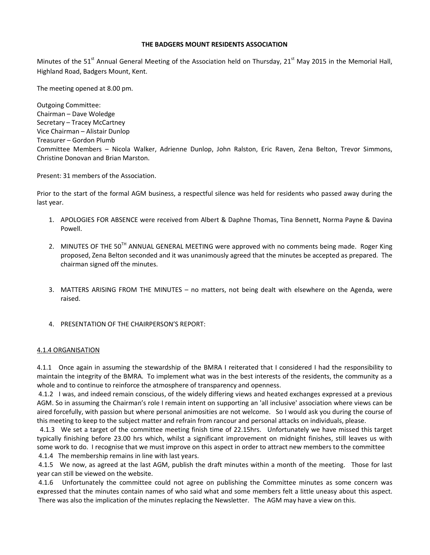### THE BADGERS MOUNT RESIDENTS ASSOCIATION

Minutes of the 51<sup>st</sup> Annual General Meeting of the Association held on Thursday, 21<sup>st</sup> May 2015 in the Memorial Hall, Highland Road, Badgers Mount, Kent.

The meeting opened at 8.00 pm.

Outgoing Committee: Chairman – Dave Woledge Secretary – Tracey McCartney Vice Chairman – Alistair Dunlop Treasurer – Gordon Plumb Committee Members – Nicola Walker, Adrienne Dunlop, John Ralston, Eric Raven, Zena Belton, Trevor Simmons, Christine Donovan and Brian Marston.

Present: 31 members of the Association.

Prior to the start of the formal AGM business, a respectful silence was held for residents who passed away during the last year.

- 1. APOLOGIES FOR ABSENCE were received from Albert & Daphne Thomas, Tina Bennett, Norma Payne & Davina Powell.
- 2. MINUTES OF THE 50<sup>TH</sup> ANNUAL GENERAL MEETING were approved with no comments being made. Roger King proposed, Zena Belton seconded and it was unanimously agreed that the minutes be accepted as prepared. The chairman signed off the minutes.
- 3. MATTERS ARISING FROM THE MINUTES no matters, not being dealt with elsewhere on the Agenda, were raised.
- 4. PRESENTATION OF THE CHAIRPERSON'S REPORT:

#### 4.1.4 ORGANISATION

4.1.1 Once again in assuming the stewardship of the BMRA I reiterated that I considered I had the responsibility to maintain the integrity of the BMRA. To implement what was in the best interests of the residents, the community as a whole and to continue to reinforce the atmosphere of transparency and openness.

 4.1.2 I was, and indeed remain conscious, of the widely differing views and heated exchanges expressed at a previous AGM. So in assuming the Chairman's role I remain intent on supporting an 'all inclusive' association where views can be aired forcefully, with passion but where personal animosities are not welcome. So I would ask you during the course of this meeting to keep to the subject matter and refrain from rancour and personal attacks on individuals, please.

 4.1.3 We set a target of the committee meeting finish time of 22.15hrs. Unfortunately we have missed this target typically finishing before 23.00 hrs which, whilst a significant improvement on midnight finishes, still leaves us with some work to do. I recognise that we must improve on this aspect in order to attract new members to the committee 4.1.4 The membership remains in line with last years.

 4.1.5 We now, as agreed at the last AGM, publish the draft minutes within a month of the meeting. Those for last year can still be viewed on the website.

 4.1.6 Unfortunately the committee could not agree on publishing the Committee minutes as some concern was expressed that the minutes contain names of who said what and some members felt a little uneasy about this aspect. There was also the implication of the minutes replacing the Newsletter. The AGM may have a view on this.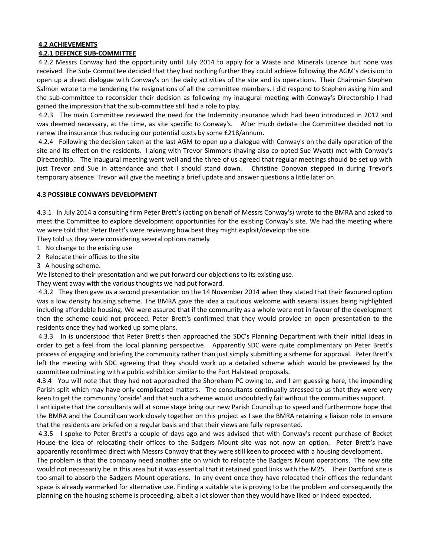#### 4.2 ACHIEVEMENTS 4.2.1 DEFENCE SUB-COMMITTEE

# 4.2.2 Messrs Conway had the opportunity until July 2014 to apply for a Waste and Minerals Licence but none was received. The Sub- Committee decided that they had nothing further they could achieve following the AGM's decision to open up a direct dialogue with Conway's on the daily activities of the site and its operations. Their Chairman Stephen Salmon wrote to me tendering the resignations of all the committee members. I did respond to Stephen asking him and the sub-committee to reconsider their decision as following my inaugural meeting with Conway's Directorship I had gained the impression that the sub-committee still had a role to play.

 4.2.3 The main Committee reviewed the need for the Indemnity insurance which had been introduced in 2012 and was deemed necessary, at the time, as site specific to Conway's. After much debate the Committee decided not to renew the insurance thus reducing our potential costs by some £218/annum.

 4.2.4 Following the decision taken at the last AGM to open up a dialogue with Conway's on the daily operation of the site and its effect on the residents. I along with Trevor Simmons (having also co-opted Sue Wyatt) met with Conway's Directorship. The inaugural meeting went well and the three of us agreed that regular meetings should be set up with just Trevor and Sue in attendance and that I should stand down. Christine Donovan stepped in during Trevor's temporary absence. Trevor will give the meeting a brief update and answer questions a little later on.

# 4.3 POSSIBLE CONWAYS DEVELOPMENT

4.3.1 In July 2014 a consulting firm Peter Brett's (acting on behalf of Messrs Conway's) wrote to the BMRA and asked to meet the Committee to explore development opportunities for the existing Conway's site. We had the meeting where we were told that Peter Brett's were reviewing how best they might exploit/develop the site.

They told us they were considering several options namely

- 1 No change to the existing use
- 2 Relocate their offices to the site
- 3 A housing scheme.

We listened to their presentation and we put forward our objections to its existing use.

They went away with the various thoughts we had put forward.

 4.3.2 They then gave us a second presentation on the 14 November 2014 when they stated that their favoured option was a low density housing scheme. The BMRA gave the idea a cautious welcome with several issues being highlighted including affordable housing. We were assured that if the community as a whole were not in favour of the development then the scheme could not proceed. Peter Brett's confirmed that they would provide an open presentation to the residents once they had worked up some plans.

 4.3.3 In is understood that Peter Brett's then approached the SDC's Planning Department with their initial ideas in order to get a feel from the local planning perspective. Apparently SDC were quite complimentary on Peter Brett's process of engaging and briefing the community rather than just simply submitting a scheme for approval. Peter Brett's left the meeting with SDC agreeing that they should work up a detailed scheme which would be previewed by the committee culminating with a public exhibition similar to the Fort Halstead proposals.

4.3.4 You will note that they had not approached the Shoreham PC owing to, and I am guessing here, the impending Parish split which may have only complicated matters. The consultants continually stressed to us that they were very keen to get the community 'onside' and that such a scheme would undoubtedly fail without the communities support.

I anticipate that the consultants will at some stage bring our new Parish Council up to speed and furthermore hope that the BMRA and the Council can work closely together on this project as I see the BMRA retaining a liaison role to ensure that the residents are briefed on a regular basis and that their views are fully represented.

 4.3.5 I spoke to Peter Brett's a couple of days ago and was advised that with Conway's recent purchase of Becket House the idea of relocating their offices to the Badgers Mount site was not now an option. Peter Brett's have apparently reconfirmed direct with Messrs Conway that they were still keen to proceed with a housing development.

The problem is that the company need another site on which to relocate the Badgers Mount operations. The new site would not necessarily be in this area but it was essential that it retained good links with the M25. Their Dartford site is too small to absorb the Badgers Mount operations. In any event once they have relocated their offices the redundant space is already earmarked for alternative use. Finding a suitable site is proving to be the problem and consequently the planning on the housing scheme is proceeding, albeit a lot slower than they would have liked or indeed expected.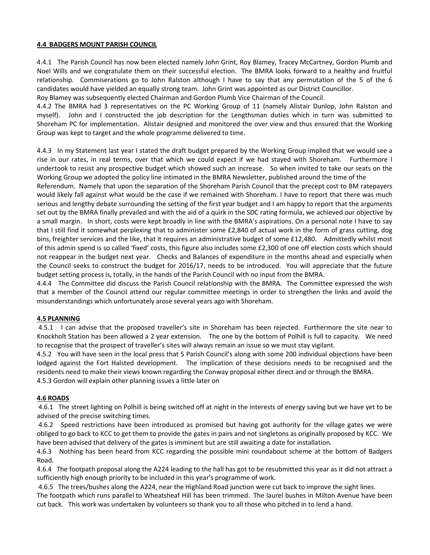## 4.4 BADGERS MOUNT PARISH COUNCIL

4.4.1 The Parish Council has now been elected namely John Grint, Roy Blamey, Tracey McCartney, Gordon Plumb and Noel Wills and we congratulate them on their successful election. The BMRA looks forward to a healthy and fruitful relationship. Commiserations go to John Ralston although I have to say that any permutation of the 5 of the 6 candidates would have yielded an equally strong team. John Grint was appointed as our District Councillor.

Roy Blamey was subsequently elected Chairman and Gordon Plumb Vice Chairman of the Council.

4.4.2 The BMRA had 3 representatives on the PC Working Group of 11 (namely Alistair Dunlop, John Ralston and myself). John and I constructed the job description for the Lengthsman duties which in turn was submitted to Shoreham PC for implementation. Alistair designed and monitored the over view and thus ensured that the Working Group was kept to target and the whole programme delivered to time.

4.4.3 In my Statement last year I stated the draft budget prepared by the Working Group implied that we would see a rise in our rates, in real terms, over that which we could expect if we had stayed with Shoreham. Furthermore I undertook to resist any prospective budget which showed such an increase. So when invited to take our seats on the Working Group we adopted the policy line intimated in the BMRA Newsletter, published around the time of the

Referendum. Namely that upon the separation of the Shoreham Parish Council that the precept cost to BM ratepayers would likely fall against what would be the case if we remained with Shoreham. I have to report that there was much serious and lengthy debate surrounding the setting of the first year budget and I am happy to report that the arguments set out by the BMRA finally prevailed and with the aid of a quirk in the SDC rating formula, we achieved our objective by a small margin. In short, costs were kept broadly in line with the BMRA's aspirations. On a personal note I have to say that I still find it somewhat perplexing that to administer some £2,840 of actual work in the form of grass cutting, dog bins, freighter services and the like, that it requires an administrative budget of some £12,480. Admittedly whilst most of this admin spend is so called 'fixed' costs, this figure also includes some £2,300 of one off election costs which should not reappear in the budget next year. Checks and Balances of expenditure in the months ahead and especially when the Council seeks to construct the budget for 2016/17, needs to be introduced. You will appreciate that the future budget setting process is, totally, in the hands of the Parish Council with no input from the BMRA.

4.4.4 The Committee did discuss the Parish Council relationship with the BMRA. The Committee expressed the wish that a member of the Council attend our regular committee meetings in order to strengthen the links and avoid the misunderstandings which unfortunately arose several years ago with Shoreham.

#### 4.5 PLANNING

 4.5.1 I can advise that the proposed traveller's site in Shoreham has been rejected. Furthermore the site near to Knockholt Station has been allowed a 2 year extension. The one by the bottom of Polhill is full to capacity. We need to recognise that the prospect of traveller's sites will always remain an issue so we must stay vigilant.

4.5.2 You will have seen in the local press that 5 Parish Council's along with some 200 individual objections have been lodged against the Fort Halsted development. The implication of these decisions needs to be recognised and the residents need to make their views known regarding the Conway proposal either direct and or through the BMRA. 4.5.3 Gordon will explain other planning issues a little later on

#### 4.6 ROADS

 4.6.1 The street lighting on Polhill is being switched off at night in the interests of energy saving but we have yet to be advised of the precise switching times.

 4.6.2 Speed restrictions have been introduced as promised but having got authority for the village gates we were obliged to go back to KCC to get them to provide the gates in pairs and not singletons as originally proposed by KCC. We have been advised that delivery of the gates is imminent but are still awaiting a date for installation.

4.6.3 Nothing has been heard from KCC regarding the possible mini roundabout scheme at the bottom of Badgers Road.

4.6.4 The footpath proposal along the A224 leading to the hall has got to be resubmitted this year as it did not attract a sufficiently high enough priority to be included in this year's programme of work.

4.6.5 The trees/bushes along the A224, near the Highland Road junction were cut back to improve the sight lines.

The footpath which runs parallel to Wheatsheaf Hill has been trimmed. The laurel bushes in Milton Avenue have been cut back. This work was undertaken by volunteers so thank you to all those who pitched in to lend a hand.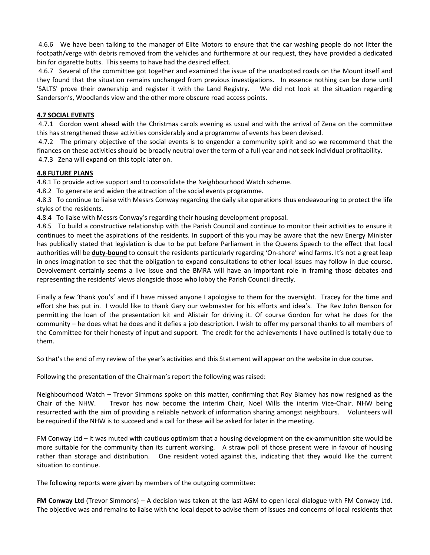4.6.6 We have been talking to the manager of Elite Motors to ensure that the car washing people do not litter the footpath/verge with debris removed from the vehicles and furthermore at our request, they have provided a dedicated bin for cigarette butts. This seems to have had the desired effect.

 4.6.7 Several of the committee got together and examined the issue of the unadopted roads on the Mount itself and they found that the situation remains unchanged from previous investigations. In essence nothing can be done until 'SALTS' prove their ownership and register it with the Land Registry. We did not look at the situation regarding Sanderson's, Woodlands view and the other more obscure road access points.

## 4.7 SOCIAL EVENTS

 4.7.1 Gordon went ahead with the Christmas carols evening as usual and with the arrival of Zena on the committee this has strengthened these activities considerably and a programme of events has been devised.

 4.7.2 The primary objective of the social events is to engender a community spirit and so we recommend that the finances on these activities should be broadly neutral over the term of a full year and not seek individual profitability. 4.7.3 Zena will expand on this topic later on.

## 4.8 FUTURE PLANS

4.8.1 To provide active support and to consolidate the Neighbourhood Watch scheme.

4.8.2 To generate and widen the attraction of the social events programme.

4.8.3 To continue to liaise with Messrs Conway regarding the daily site operations thus endeavouring to protect the life styles of the residents.

4.8.4 To liaise with Messrs Conway's regarding their housing development proposal.

4.8.5 To build a constructive relationship with the Parish Council and continue to monitor their activities to ensure it continues to meet the aspirations of the residents. In support of this you may be aware that the new Energy Minister has publically stated that legislation is due to be put before Parliament in the Queens Speech to the effect that local authorities will be **duty-bound** to consult the residents particularly regarding 'On-shore' wind farms. It's not a great leap in ones imagination to see that the obligation to expand consultations to other local issues may follow in due course. Devolvement certainly seems a live issue and the BMRA will have an important role in framing those debates and representing the residents' views alongside those who lobby the Parish Council directly.

Finally a few 'thank you's' and if I have missed anyone I apologise to them for the oversight. Tracey for the time and effort she has put in. I would like to thank Gary our webmaster for his efforts and idea's. The Rev John Benson for permitting the loan of the presentation kit and Alistair for driving it. Of course Gordon for what he does for the community – he does what he does and it defies a job description. I wish to offer my personal thanks to all members of the Committee for their honesty of input and support. The credit for the achievements I have outlined is totally due to them.

So that's the end of my review of the year's activities and this Statement will appear on the website in due course.

Following the presentation of the Chairman's report the following was raised:

Neighbourhood Watch – Trevor Simmons spoke on this matter, confirming that Roy Blamey has now resigned as the Chair of the NHW. Trevor has now become the interim Chair, Noel Wills the interim Vice-Chair. NHW being resurrected with the aim of providing a reliable network of information sharing amongst neighbours. Volunteers will be required if the NHW is to succeed and a call for these will be asked for later in the meeting.

FM Conway Ltd – it was muted with cautious optimism that a housing development on the ex-ammunition site would be more suitable for the community than its current working. A straw poll of those present were in favour of housing rather than storage and distribution. One resident voted against this, indicating that they would like the current situation to continue.

The following reports were given by members of the outgoing committee:

FM Conway Ltd (Trevor Simmons) – A decision was taken at the last AGM to open local dialogue with FM Conway Ltd. The objective was and remains to liaise with the local depot to advise them of issues and concerns of local residents that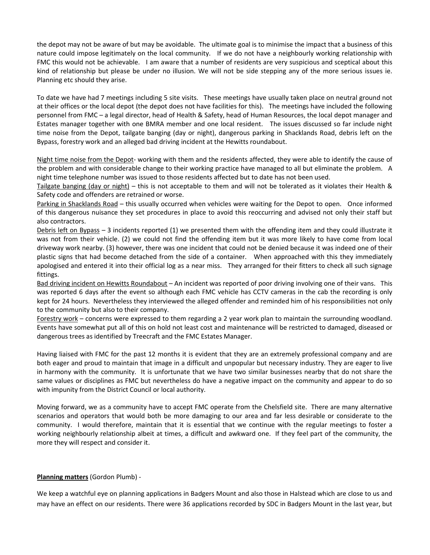the depot may not be aware of but may be avoidable. The ultimate goal is to minimise the impact that a business of this nature could impose legitimately on the local community. If we do not have a neighbourly working relationship with FMC this would not be achievable. I am aware that a number of residents are very suspicious and sceptical about this kind of relationship but please be under no illusion. We will not be side stepping any of the more serious issues ie. Planning etc should they arise.

To date we have had 7 meetings including 5 site visits. These meetings have usually taken place on neutral ground not at their offices or the local depot (the depot does not have facilities for this). The meetings have included the following personnel from FMC – a legal director, head of Health & Safety, head of Human Resources, the local depot manager and Estates manager together with one BMRA member and one local resident. The issues discussed so far include night time noise from the Depot, tailgate banging (day or night), dangerous parking in Shacklands Road, debris left on the Bypass, forestry work and an alleged bad driving incident at the Hewitts roundabout.

Night time noise from the Depot- working with them and the residents affected, they were able to identify the cause of the problem and with considerable change to their working practice have managed to all but eliminate the problem. A night time telephone number was issued to those residents affected but to date has not been used.

Tailgate banging (day or night) – this is not acceptable to them and will not be tolerated as it violates their Health & Safety code and offenders are retrained or worse.

Parking in Shacklands Road – this usually occurred when vehicles were waiting for the Depot to open. Once informed of this dangerous nuisance they set procedures in place to avoid this reoccurring and advised not only their staff but also contractors.

Debris left on Bypass – 3 incidents reported (1) we presented them with the offending item and they could illustrate it was not from their vehicle. (2) we could not find the offending item but it was more likely to have come from local driveway work nearby. (3) however, there was one incident that could not be denied because it was indeed one of their plastic signs that had become detached from the side of a container. When approached with this they immediately apologised and entered it into their official log as a near miss. They arranged for their fitters to check all such signage fittings.

Bad driving incident on Hewitts Roundabout – An incident was reported of poor driving involving one of their vans. This was reported 6 days after the event so although each FMC vehicle has CCTV cameras in the cab the recording is only kept for 24 hours. Nevertheless they interviewed the alleged offender and reminded him of his responsibilities not only to the community but also to their company.

Forestry work – concerns were expressed to them regarding a 2 year work plan to maintain the surrounding woodland. Events have somewhat put all of this on hold not least cost and maintenance will be restricted to damaged, diseased or dangerous trees as identified by Treecraft and the FMC Estates Manager.

Having liaised with FMC for the past 12 months it is evident that they are an extremely professional company and are both eager and proud to maintain that image in a difficult and unpopular but necessary industry. They are eager to live in harmony with the community. It is unfortunate that we have two similar businesses nearby that do not share the same values or disciplines as FMC but nevertheless do have a negative impact on the community and appear to do so with impunity from the District Council or local authority.

Moving forward, we as a community have to accept FMC operate from the Chelsfield site. There are many alternative scenarios and operators that would both be more damaging to our area and far less desirable or considerate to the community. I would therefore, maintain that it is essential that we continue with the regular meetings to foster a working neighbourly relationship albeit at times, a difficult and awkward one. If they feel part of the community, the more they will respect and consider it.

# Planning matters (Gordon Plumb) -

We keep a watchful eye on planning applications in Badgers Mount and also those in Halstead which are close to us and may have an effect on our residents. There were 36 applications recorded by SDC in Badgers Mount in the last year, but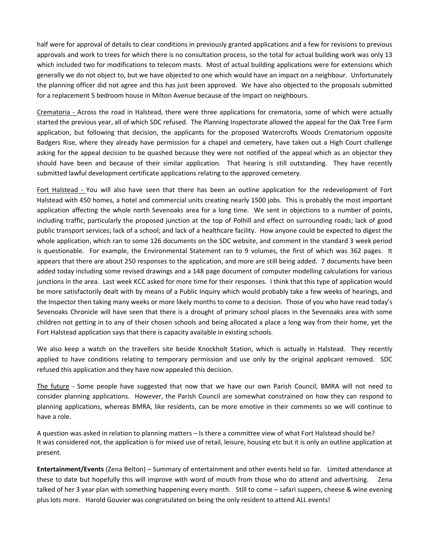half were for approval of details to clear conditions in previously granted applications and a few for revisions to previous approvals and work to trees for which there is no consultation process, so the total for actual building work was only 13 which included two for modifications to telecom masts. Most of actual building applications were for extensions which generally we do not object to, but we have objected to one which would have an impact on a neighbour. Unfortunately the planning officer did not agree and this has just been approved. We have also objected to the proposals submitted for a replacement 5 bedroom house in Milton Avenue because of the impact on neighbours.

Crematoria - Across the road in Halstead, there were three applications for crematoria, some of which were actually started the previous year, all of which SDC refused. The Planning Inspectorate allowed the appeal for the Oak Tree Farm application, but following that decision, the applicants for the proposed Watercrofts Woods Crematorium opposite Badgers Rise, where they already have permission for a chapel and cemetery, have taken out a High Court challenge asking for the appeal decision to be quashed because they were not notified of the appeal which as an objector they should have been and because of their similar application. That hearing is still outstanding. They have recently submitted lawful development certificate applications relating to the approved cemetery.

Fort Halstead - You will also have seen that there has been an outline application for the redevelopment of Fort Halstead with 450 homes, a hotel and commercial units creating nearly 1500 jobs. This is probably the most important application affecting the whole north Sevenoaks area for a long time. We sent in objections to a number of points, including traffic, particularly the proposed junction at the top of Polhill and effect on surrounding roads; lack of good public transport services; lack of a school; and lack of a healthcare facility. How anyone could be expected to digest the whole application, which ran to some 126 documents on the SDC website, and comment in the standard 3 week period is questionable. For example, the Environmental Statement ran to 9 volumes, the first of which was 362 pages. It appears that there are about 250 responses to the application, and more are still being added. 7 documents have been added today including some revised drawings and a 148 page document of computer modelling calculations for various junctions in the area. Last week KCC asked for more time for their responses. I think that this type of application would be more satisfactorily dealt with by means of a Public Inquiry which would probably take a few weeks of hearings, and the Inspector then taking many weeks or more likely months to come to a decision. Those of you who have read today's Sevenoaks Chronicle will have seen that there is a drought of primary school places in the Sevenoaks area with some children not getting in to any of their chosen schools and being allocated a place a long way from their home, yet the Fort Halstead application says that there is capacity available in existing schools.

We also keep a watch on the travellers site beside Knockholt Station, which is actually in Halstead. They recently applied to have conditions relating to temporary permission and use only by the original applicant removed. SDC refused this application and they have now appealed this decision.

The future - Some people have suggested that now that we have our own Parish Council, BMRA will not need to consider planning applications. However, the Parish Council are somewhat constrained on how they can respond to planning applications, whereas BMRA, like residents, can be more emotive in their comments so we will continue to have a role.

A question was asked in relation to planning matters – Is there a committee view of what Fort Halstead should be? It was considered not, the application is for mixed use of retail, leisure, housing etc but it is only an outline application at present.

Entertainment/Events (Zena Belton) – Summary of entertainment and other events held so far. Limited attendance at these to date but hopefully this will improve with word of mouth from those who do attend and advertising. Zena talked of her 3 year plan with something happening every month. Still to come – safari suppers, cheese & wine evening plus lots more. Harold Gouvier was congratulated on being the only resident to attend ALL events!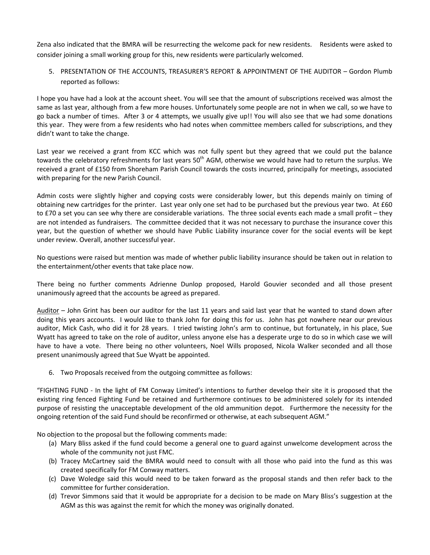Zena also indicated that the BMRA will be resurrecting the welcome pack for new residents. Residents were asked to consider joining a small working group for this, new residents were particularly welcomed.

5. PRESENTATION OF THE ACCOUNTS, TREASURER'S REPORT & APPOINTMENT OF THE AUDITOR – Gordon Plumb reported as follows:

I hope you have had a look at the account sheet. You will see that the amount of subscriptions received was almost the same as last year, although from a few more houses. Unfortunately some people are not in when we call, so we have to go back a number of times. After 3 or 4 attempts, we usually give up!! You will also see that we had some donations this year. They were from a few residents who had notes when committee members called for subscriptions, and they didn't want to take the change.

Last year we received a grant from KCC which was not fully spent but they agreed that we could put the balance towards the celebratory refreshments for last years 50<sup>th</sup> AGM, otherwise we would have had to return the surplus. We received a grant of £150 from Shoreham Parish Council towards the costs incurred, principally for meetings, associated with preparing for the new Parish Council.

Admin costs were slightly higher and copying costs were considerably lower, but this depends mainly on timing of obtaining new cartridges for the printer. Last year only one set had to be purchased but the previous year two. At £60 to £70 a set you can see why there are considerable variations. The three social events each made a small profit – they are not intended as fundraisers. The committee decided that it was not necessary to purchase the insurance cover this year, but the question of whether we should have Public Liability insurance cover for the social events will be kept under review. Overall, another successful year.

No questions were raised but mention was made of whether public liability insurance should be taken out in relation to the entertainment/other events that take place now.

There being no further comments Adrienne Dunlop proposed, Harold Gouvier seconded and all those present unanimously agreed that the accounts be agreed as prepared.

Auditor – John Grint has been our auditor for the last 11 years and said last year that he wanted to stand down after doing this years accounts. I would like to thank John for doing this for us. John has got nowhere near our previous auditor, Mick Cash, who did it for 28 years. I tried twisting John's arm to continue, but fortunately, in his place, Sue Wyatt has agreed to take on the role of auditor, unless anyone else has a desperate urge to do so in which case we will have to have a vote. There being no other volunteers, Noel Wills proposed, Nicola Walker seconded and all those present unanimously agreed that Sue Wyatt be appointed.

6. Two Proposals received from the outgoing committee as follows:

"FIGHTING FUND - In the light of FM Conway Limited's intentions to further develop their site it is proposed that the existing ring fenced Fighting Fund be retained and furthermore continues to be administered solely for its intended purpose of resisting the unacceptable development of the old ammunition depot. Furthermore the necessity for the ongoing retention of the said Fund should be reconfirmed or otherwise, at each subsequent AGM."

No objection to the proposal but the following comments made:

- (a) Mary Bliss asked if the fund could become a general one to guard against unwelcome development across the whole of the community not just FMC.
- (b) Tracey McCartney said the BMRA would need to consult with all those who paid into the fund as this was created specifically for FM Conway matters.
- (c) Dave Woledge said this would need to be taken forward as the proposal stands and then refer back to the committee for further consideration.
- (d) Trevor Simmons said that it would be appropriate for a decision to be made on Mary Bliss's suggestion at the AGM as this was against the remit for which the money was originally donated.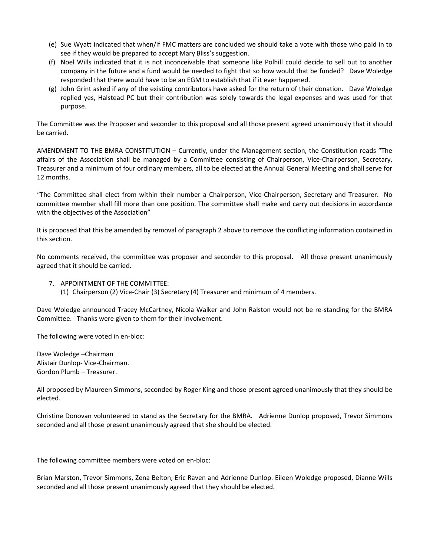- (e) Sue Wyatt indicated that when/if FMC matters are concluded we should take a vote with those who paid in to see if they would be prepared to accept Mary Bliss's suggestion.
- (f) Noel Wills indicated that it is not inconceivable that someone like Polhill could decide to sell out to another company in the future and a fund would be needed to fight that so how would that be funded? Dave Woledge responded that there would have to be an EGM to establish that if it ever happened.
- (g) John Grint asked if any of the existing contributors have asked for the return of their donation. Dave Woledge replied yes, Halstead PC but their contribution was solely towards the legal expenses and was used for that purpose.

The Committee was the Proposer and seconder to this proposal and all those present agreed unanimously that it should be carried.

AMENDMENT TO THE BMRA CONSTITUTION – Currently, under the Management section, the Constitution reads "The affairs of the Association shall be managed by a Committee consisting of Chairperson, Vice-Chairperson, Secretary, Treasurer and a minimum of four ordinary members, all to be elected at the Annual General Meeting and shall serve for 12 months.

"The Committee shall elect from within their number a Chairperson, Vice-Chairperson, Secretary and Treasurer. No committee member shall fill more than one position. The committee shall make and carry out decisions in accordance with the objectives of the Association"

It is proposed that this be amended by removal of paragraph 2 above to remove the conflicting information contained in this section.

No comments received, the committee was proposer and seconder to this proposal. All those present unanimously agreed that it should be carried.

- 7. APPOINTMENT OF THE COMMITTEE:
	- (1) Chairperson (2) Vice-Chair (3) Secretary (4) Treasurer and minimum of 4 members.

Dave Woledge announced Tracey McCartney, Nicola Walker and John Ralston would not be re-standing for the BMRA Committee. Thanks were given to them for their involvement.

The following were voted in en-bloc:

Dave Woledge –Chairman Alistair Dunlop- Vice-Chairman. Gordon Plumb – Treasurer.

All proposed by Maureen Simmons, seconded by Roger King and those present agreed unanimously that they should be elected.

Christine Donovan volunteered to stand as the Secretary for the BMRA. Adrienne Dunlop proposed, Trevor Simmons seconded and all those present unanimously agreed that she should be elected.

The following committee members were voted on en-bloc:

Brian Marston, Trevor Simmons, Zena Belton, Eric Raven and Adrienne Dunlop. Eileen Woledge proposed, Dianne Wills seconded and all those present unanimously agreed that they should be elected.